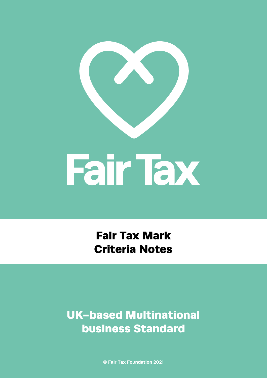

Fair Tax Mark Criteria Notes

UK-based Multinational business Standard

**© Fair Tax Foundation 2021**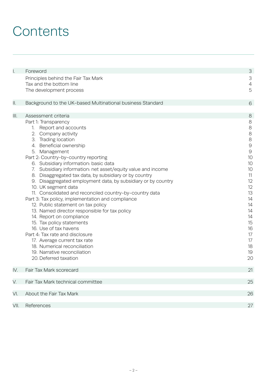## **Contents**

| I.   | Foreword                                                                                                                                                                                                                                                                                                                                                                                                                                                                                                                                                                                                                                                                                                                                                                                                                                                                                            | 3                                                                                                                                                                            |
|------|-----------------------------------------------------------------------------------------------------------------------------------------------------------------------------------------------------------------------------------------------------------------------------------------------------------------------------------------------------------------------------------------------------------------------------------------------------------------------------------------------------------------------------------------------------------------------------------------------------------------------------------------------------------------------------------------------------------------------------------------------------------------------------------------------------------------------------------------------------------------------------------------------------|------------------------------------------------------------------------------------------------------------------------------------------------------------------------------|
|      | Principles behind the Fair Tax Mark<br>Tax and the bottom line                                                                                                                                                                                                                                                                                                                                                                                                                                                                                                                                                                                                                                                                                                                                                                                                                                      | 3<br>$\overline{4}$<br>5                                                                                                                                                     |
|      | The development process                                                                                                                                                                                                                                                                                                                                                                                                                                                                                                                                                                                                                                                                                                                                                                                                                                                                             |                                                                                                                                                                              |
| Ш.   | Background to the UK-based Multinational business Standard                                                                                                                                                                                                                                                                                                                                                                                                                                                                                                                                                                                                                                                                                                                                                                                                                                          | 6                                                                                                                                                                            |
| Ш.   | Assessment criteria                                                                                                                                                                                                                                                                                                                                                                                                                                                                                                                                                                                                                                                                                                                                                                                                                                                                                 | 8                                                                                                                                                                            |
|      | Part 1: Transparency<br>Report and accounts<br>1.<br>2. Company activity<br>3. Trading location<br>4. Beneficial ownership<br>5. Management<br>Part 2: Country-by-country reporting<br>6. Subsidiary information: basic data<br>7. Subsidiary information: net asset/equity value and income<br>8. Disaggregated tax data, by subsidiary or by country<br>9. Disaggregated employment data, by subsidiary or by country<br>10. UK segment data<br>11. Consolidated and reconciled country-by-country data<br>Part 3: Tax policy, implementation and compliance<br>12. Public statement on tax policy<br>13. Named director responsible for tax policy<br>14. Report on compliance<br>15. Tax policy statements<br>16. Use of tax havens<br>Part 4: Tax rate and disclosure<br>17. Average current tax rate<br>18. Numerical reconciliation<br>19. Narrative reconciliation<br>20. Deferred taxation | $\,8\,$<br>$\,8\,$<br>$\,8\,$<br>$\,8\,$<br>$\Theta$<br>$\Theta$<br>10<br>10<br>10<br>11<br>12<br>12<br>13<br>14<br>14<br>14<br>14<br>15<br>16<br>17<br>17<br>18<br>19<br>20 |
| IV.  | Fair Tax Mark scorecard                                                                                                                                                                                                                                                                                                                                                                                                                                                                                                                                                                                                                                                                                                                                                                                                                                                                             | 21                                                                                                                                                                           |
| V.   | Fair Tax Mark technical committee                                                                                                                                                                                                                                                                                                                                                                                                                                                                                                                                                                                                                                                                                                                                                                                                                                                                   | 25                                                                                                                                                                           |
| VI.  | About the Fair Tax Mark                                                                                                                                                                                                                                                                                                                                                                                                                                                                                                                                                                                                                                                                                                                                                                                                                                                                             | 26                                                                                                                                                                           |
| VII. | References                                                                                                                                                                                                                                                                                                                                                                                                                                                                                                                                                                                                                                                                                                                                                                                                                                                                                          | 27                                                                                                                                                                           |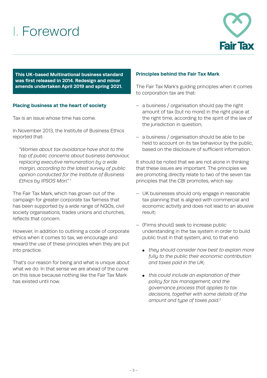## I. Foreword



**This UK-based Multinational business standard was first released in 2014. Redesign and minor amends undertaken April 2019 and spring 2021.**

## **Placing business at the heart of society**

Tax is an issue whose time has come.

In November 2013, the Institute of Business Ethics reported that:

*"Worries about tax avoidance have shot to the top of public concerns about business behaviour, replacing executive remuneration by a wide margin, according to the latest survey of public opinion conducted for the Institute of Business Ethics by IPSOS Mori." 1*

The Fair Tax Mark, which has grown out of the campaign for greater corporate tax fairness that has been supported by a wide range of NGOs, civil society organisations, trades unions and churches, reflects that concern.

However, in addition to outlining a code of corporate ethics when it comes to tax, we encourage and reward the use of these principles when they are put into practice.

That's our reason for being and what is unique about what we do. In that sense we are ahead of the curve on this issue because nothing like the Fair Tax Mark has existed until now.

#### **Principles behind the Fair Tax Mark**

The Fair Tax Mark's guiding principles when it comes to corporation tax are that:

- a business / organisation should pay the right amount of tax (but no more) in the right place at the right time, according to the spirit of the law of the jurisdiction in question;
- a business / organisation should be able to be held to account on its tax behaviour by the public, based on the disclosure of sufficient information.

It should be noted that we are not alone in thinking that these issues are important. The principles we are promoting directly relate to two of the seven tax principles that the CBI promotes, which say:

- UK businesses should only engage in reasonable tax planning that is aligned with commercial and economic activity and does not lead to an abusive result;
- (Firms should) seek to increase public understanding in the tax system in order to build public trust in that system, and, to that end:
	- *they should consider how best to explain more fully to the public their economic contribution and taxes paid in the UK;*
	- *this could include an explanation of their policy for tax management, and the governance process that applies to tax decisions, together with some details of the amount and type of taxes paid.2*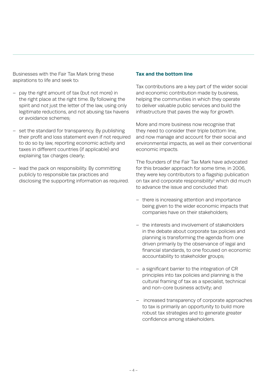Businesses with the Fair Tax Mark bring these aspirations to life and seek to:

- pay the right amount of tax (but not more) in the right place at the right time. By following the spirit and not just the letter of the law, using only legitimate reductions, and not abusing tax havens or avoidance schemes;
- set the standard for transparency. By publishing their profit and loss statement even if not required to do so by law, reporting economic activity and taxes in different countries (if applicable) and explaining tax charges clearly;
- lead the pack on responsibility. By committing publicly to responsible tax practices and disclosing the supporting information as required.

#### **Tax and the bottom line**

Tax contributions are a key part of the wider social and economic contribution made by business, helping the communities in which they operate to deliver valuable public services and build the infrastructure that paves the way for growth.

More and more business now recognise that they need to consider their triple bottom line, and now manage and account for their social and environmental impacts, as well as their conventional economic impacts.

The founders of the Fair Tax Mark have advocated for this broader approach for some time; in 2006, they were key contributors to a flagship publication on tax and corporate responsibility<sup>3</sup> which did much to advance the issue and concluded that:

- there is increasing attention and importance being given to the wider economic impacts that companies have on their stakeholders;
- the interests and involvement of stakeholders in the debate about corporate tax policies and planning is transforming the agenda from one driven primarily by the observance of legal and financial standards, to one focused on economic accountability to stakeholder groups;
- a significant barrier to the integration of CR principles into tax policies and planning is the cultural framing of tax as a specialist, technical and non-core business activity; and
- increased transparency of corporate approaches to tax is primarily an opportunity to build more robust tax strategies and to generate greater confidence among stakeholders.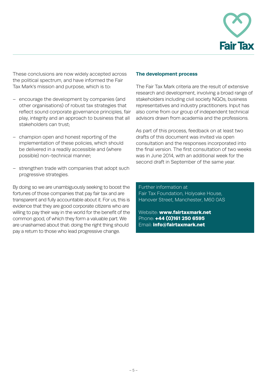

These conclusions are now widely accepted across the political spectrum, and have informed the Fair Tax Mark's mission and purpose, which is to:

- encourage the development by companies (and other organisations) of robust tax strategies that reflect sound corporate governance principles, fair play, integrity and an approach to business that all stakeholders can trust;
- champion open and honest reporting of the implementation of these policies, which should be delivered in a readily accessible and (where possible) non-technical manner;
- strengthen trade with companies that adopt such progressive strategies.

By doing so we are unambiguously seeking to boost the fortunes of those companies that pay fair tax and are transparent and fully accountable about it. For us, this is evidence that they are good corporate citizens who are willing to pay their way in the world for the benefit of the common good, of which they form a valuable part. We are unashamed about that: doing the right thing should pay a return to those who lead progressive change.

#### **The development process**

The Fair Tax Mark criteria are the result of extensive research and development, involving a broad range of stakeholders including civil society NGOs, business representatives and industry practitioners. Input has also come from our group of independent technical advisors drawn from academia and the professions.

As part of this process, feedback on at least two drafts of this document was invited via open consultation and the responses incorporated into the final version. The first consultation of two weeks was in June 2014, with an additional week for the second draft in September of the same year.

Further information at Fair Tax Foundation, Holyoake House, Hanover Street, Manchester, M60 0AS

Website: www.fairtaxmark.net Phone: +44 (0)161 250 6595 Email: info@fairtaxmark.net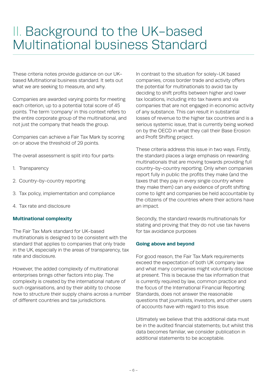These criteria notes provide guidance on our UKbased Multinational business standard. It sets out what we are seeking to measure, and why.

Companies are awarded varying points for meeting each criterion, up to a potential total score of 45 points. The term 'company' in this context refers to the entire corporate group of the multinational, and not just the company that heads the group.

Companies can achieve a Fair Tax Mark by scoring on or above the threshold of 29 points.

The overall assessment is split into four parts:

- 1. Transparency
- 2. Country-by-country reporting
- 3. Tax policy, implementation and compliance
- 4. Tax rate and disclosure

## **Multinational complexity**

The Fair Tax Mark standard for UK-based multinationals is designed to be consistent with the standard that applies to companies that only trade in the UK, especially in the areas of transparency, tax rate and disclosure.

However, the added complexity of multinational enterprises brings other factors into play. The complexity is created by the international nature of such organisations, and by their ability to choose how to structure their supply chains across a number of different countries and tax jurisdictions.

In contrast to the situation for solely-UK based companies, cross border trade and activity offers the potential for multinationals to avoid tax by deciding to shift profits between higher and lower tax locations, including into tax havens and via companies that are not engaged in economic activity of any substance. This can result in substantial losses of revenue to the higher tax countries and is a serious systemic issue, that is currently being worked on by the OECD in what they call their Base Erosion and Profit Shifting project.

These criteria address this issue in two ways. Firstly, the standard places a large emphasis on rewarding multinationals that are moving towards providing full country-by-country reporting. Only when companies report fully in public the profits they make (and the taxes that they pay in every single country where they make them) can any evidence of profit shifting come to light and companies be held accountable by the citizens of the countries where their actions have an impact.

Secondly, the standard rewards multinationals for stating and proving that they do not use tax havens for tax avoidance purposes

## **Going above and beyond**

For good reason, the Fair Tax Mark requirements exceed the expectation of both UK company law and what many companies might voluntarily disclose at present. This is because the tax information that is currently required by law, common practice and the focus of the International Financial Reporting Standards, does not answer the reasonable questions that journalists, investors, and other users of accounts have with regard to this issue.

Ultimately we believe that this additional data must be in the audited financial statements; but whilst this data becomes familiar, we consider publication in additional statements to be acceptable.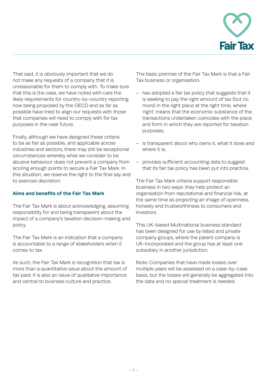

That said, it is obviously important that we do not make any requests of a company that it is unreasonable for them to comply with. To make sure that this is the case, we have noted with care the likely requirements for country-by-country reporting now being proposed by the OECD and as far as possible have tried to align our requests with those that companies will need to comply with for tax purposes in the near future.

Finally, although we have designed these criteria to be as fair as possible, and applicable across industries and sectors, there may still be exceptional circumstances whereby what we consider to be abusive behaviour does not prevent a company from scoring enough points to secure a Fair Tax Mark. In this situation, we reserve the right to the final say and to exercise discretion.

## **Aims and benefits of the Fair Tax Mark**

The Fair Tax Mark is about acknowledging, assuming responsibility for and being transparent about the impact of a company's taxation decision-making and policy.

The Fair Tax Mark is an indication that a company is accountable to a range of stakeholders when it comes to tax.

As such, the Fair Tax Mark is recognition that tax is more than a quantitative issue about the amount of tax paid; it is also an issue of qualitative importance and central to business culture and practice.

The basic premise of the Fair Tax Mark is that a Fair Tax business or organisation:

- has adopted a fair tax policy that suggests that it is seeking to pay the right amount of tax (but no more) in the right place at the right time, where 'right' means that the economic substance of the transactions undertaken coincides with the place and form in which they are reported for taxation purposes;
- is transparent about who owns it, what it does and where it is:
- provides sufficient accounting data to suggest that its fair tax policy has been put into practice.

The Fair Tax Mark criteria support responsible business in two ways: they help protect an organisation from reputational and financial risk, at the same time as projecting an image of openness, honesty and trustworthiness to consumers and investors.

This UK-based Multinational business standard has been designed for use by listed and private company groups, where the parent company is UK-incorporated and the group has at least one subsidiary in another jurisdiction.

Note: Companies that have made losses over multiple years will be assessed on a case-by-case basis, but the losses will generally be aggregated into the data and no special treatment is needed.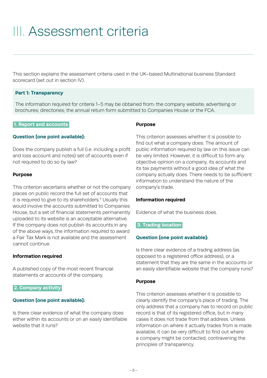## III. Assessment criteria

This section explains the assessment criteria used in the UK–based Multinational business Standard scorecard (set out in section IV).

#### **Part 1: Transparency**

The information required for criteria 1–5 may be obtained from: the company website; advertising or brochures; directories; the annual return form submitted to Companies House or the FCA.

#### **1. Report and accounts.**

#### **Question [one point available]:**

Does the company publish a full (i.e. including a profit and loss account and notes) set of accounts even if not required to do so by law?

#### **Purpose**

This criterion ascertains whether or not the company places on public record the full set of accounts that it is required to give to its shareholders.<sup>4</sup> Usually this would involve the accounts submitted to Companies House, but a set of financial statements permanently uploaded to its website is an acceptable alternative. If the company does not publish its accounts in any of the above ways, the information required to award a Fair Tax Mark is not available and the assessment cannot continue.

#### **Information required**

A published copy of the most recent financial statements or accounts of the company.

#### **2. Company activity.**

#### **Question [one point available]:**

Is there clear evidence of what the company does either within its accounts or on an easily identifiable website that it runs?

#### **Purpose**

This criterion assesses whether it is possible to find out what a company does. The amount of public information required by law on this issue can be very limited. However, it is difficult to form any objective opinion on a company, its accounts and its tax payments without a good idea of what the company actually does. There needs to be sufficient information to understand the nature of the company's trade.

#### **Information required**

Evidence of what the business does.

#### **3. Trading location.**

#### **Question [one point available]:**

Is there clear evidence of a trading address (as opposed to a registered office address), or a statement that they are the same in the accounts or an easily identifiable website that the company runs?

#### **Purpose**

This criterion assesses whether it is possible to clearly identify the company's place of trading. The only address that a company has to record on public record is that of its registered office, but in many cases it does not trade from that address. Unless information on where it actually trades from is made available, it can be very difficult to find out where a company might be contacted, contravening the principles of transparency.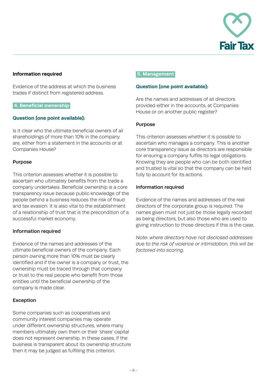

## **Information required**

Evidence of the address at which the business trades if distinct from registered address.

## **4. Beneficial ownership.**

## **Question [one point available]:**

Is it clear who the ultimate beneficial owners of all shareholdings of more than 10% in the company are, either from a statement in the accounts or at Companies House?

#### Purpose

This criterion assesses whether it is possible to ascertain who ultimately benefits from the trade a company undertakes. Beneficial ownership is a core transparency issue because public knowledge of the people behind a business reduces the risk of fraud and tax evasion. It is also vital to the establishment of a relationship of trust that is the precondition of a successful market economy.

## Information required

Evidence of the names and addresses of the ultimate beneficial owners of the company. Each person owning more than 10% must be clearly identified and if the owner is a company or trust, the ownership must be traced through that company or trust to the real people who benefit from those entities until the beneficial ownership of the company is made clear.

## Exception

Some companies such as cooperatives and community interest companies may operate under different ownership structures, where many members ultimately own them or their 'share' capital does not represent ownership. In these cases, if the business is transparent about its ownership structure then it may be judged as fulfilling this criterion.

#### **5. Management.**

#### **Question [one point available]:**

Are the names and addresses of all directors provided either in the accounts, at Companies House or on another public register?

#### Purpose

This criterion assesses whether it is possible to ascertain who manages a company. This is another core transparency issue as directors are responsible for ensuring a company fulfills its legal obligations. Knowing they are people who can be both identified and trusted is vital so that the company can be held fully to account for its actions.

#### Information required

Evidence of the names and addresses of the real directors of the corporate group is required. The names given must not just be those legally recorded as being directors, but also those who are used to giving instruction to those directors if this is the case.

*Note: where directors have not disclosed addresses due to the risk of violence or intimidation, this will be factored into scoring.*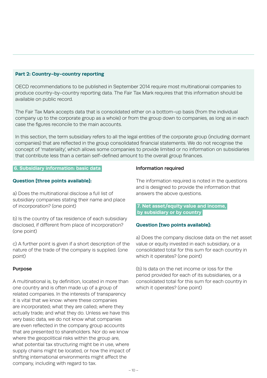## **Part 2: Country-by-country reporting**

OECD recommendations to be published in September 2014 require most multinational companies to produce country-by-country reporting data. The Fair Tax Mark requires that this information should be available on public record.

The Fair Tax Mark accepts data that is consolidated either on a bottom-up basis (from the individual company up to the corporate group as a whole) or from the group down to companies, as long as in each case the figures reconcile to the main accounts.

In this section, the term subsidiary refers to all the legal entities of the corporate group (including dormant companies) that are reflected in the group consolidated financial statements. We do not recognise the concept of 'materiality', which allows some companies to provide limited or no information on subsidiaries that contribute less than a certain self-defined amount to the overall group finances.

#### **6. Subsidiary information: basic data.**

#### **Question [three points available]:**

a) Does the multinational disclose a full list of subsidiary companies stating their name and place of incorporation? (one point)

b) Is the country of tax residence of each subsidiary disclosed, if different from place of incorporation? (one point)

c) A further point is given if a short description of the nature of the trade of the company is supplied. (one point)

#### Purpose

A multinational is, by definition, located in more than one country and is often made up of a group of related companies. In the interests of transparency it is vital that we know: where these companies are incorporated; what they are called; where they actually trade; and what they do. Unless we have this very basic data, we do not know what companies are even reflected in the company group accounts that are presented to shareholders. Nor do we know where the geopolitical risks within the group are, what potential tax structuring might be in use, where supply chains might be located, or how the impact of shifting international environments might affect the company, including with regard to tax.

#### Information required

The information required is noted in the questions and is designed to provide the information that answers the above questions.

## **7. Net asset/equity value and income, by subsidiary or by country.**

## **Question [two points available]:**

a) Does the company disclose data on the net asset value or equity invested in each subsidiary, or a consolidated total for this sum for each country in which it operates? (one point)

(b) Is data on the net income or loss for the period provided for each of its subsidiaries, or a consolidated total for this sum for each country in which it operates? (one point)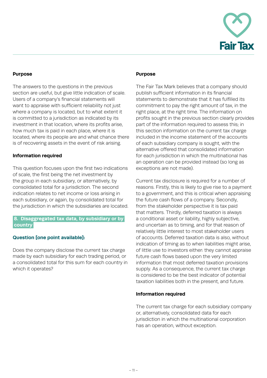

## **Purpose**

The answers to the questions in the previous section are useful, but give little indication of scale. Users of a company's financial statements will want to appraise with sufficient reliability not just where a company is located, but to what extent it is committed to a jurisdiction as indicated by its investment in that location, where its profits arise, how much tax is paid in each place, where it is located, where its people are and what chance there is of recovering assets in the event of risk arising.

#### **Information required**

This question focuses upon the first two indications of scale, the first being the net investment by the group in each subsidiary, or alternatively, by consolidated total for a jurisdiction. The second indication relates to net income or loss arising in each subsidiary, or again, by consolidated total for the jurisdiction in which the subsidiaries are located.

## **8. Disaggregated tax data, by subsidiary or by. country.**

## **Question [one point available]:**

Does the company disclose the current tax charge made by each subsidiary for each trading period, or a consolidated total for this sum for each country in which it operates?

#### **Purpose**

The Fair Tax Mark believes that a company should publish sufficient information in its financial statements to demonstrate that it has fulfilled its commitment to pay the right amount of tax, in the right place, at the right time. The information on profits sought in the previous section clearly provides part of the information required to assess this; in this section information on the current tax charge included in the income statement of the accounts of each subsidiary company is sought, with the alternative offered that consolidated information for each jurisdiction in which the multinational has an operation can be provided instead (so long as exceptions are not made).

Current tax disclosure is required for a number of reasons. Firstly, this is likely to give rise to a payment to a government, and this is critical when appraising the future cash flows of a company. Secondly, from the stakeholder perspective it is tax paid that matters. Thirdly, deferred taxation is always a conditional asset or liability, highly subjective, and uncertain as to timing, and for that reason of relatively little interest to most stakeholder users of accounts. Deferred taxation data is also, without indication of timing as to when liabilities might arise, of little use to investors either: they cannot appraise future cash flows based upon the very limited information that most deferred taxation provisions supply. As a consequence, the current tax charge is considered to be the best indicator of potential taxation liabilities both in the present, and future.

#### **Information required**

The current tax charge for each subsidiary company or, alternatively, consolidated data for each jurisdiction in which the multinational corporation has an operation, without exception.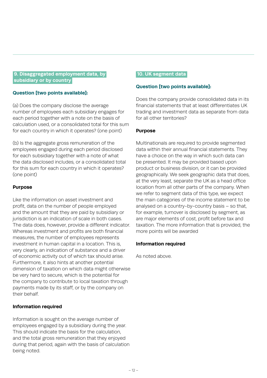## **9. Disaggregated employment data, by. .subsidiary or by country.**

## **Question [two points available]:**

(a) Does the company disclose the average number of employees each subsidiary engages for each period together with a note on the basis of calculation used, or a consolidated total for this sum for each country in which it operates? (one point)

(b) Is the aggregate gross remuneration of the employees engaged during each period disclosed for each subsidiary together with a note of what the data disclosed includes, or a consolidated total for this sum for each country in which it operates? (one point)

## **Purpose**

Like the information on asset investment and profit, data on the number of people employed and the amount that they are paid by subsidiary or jurisdiction is an indication of scale in both cases. The data does, however, provide a different indicator. Whereas investment and profits are both financial measures, the number of employees represents investment in human capital in a location. This is, very clearly, an indication of substance and a driver of economic activity out of which tax should arise. Furthermore, it also hints at another potential dimension of taxation on which data might otherwise be very hard to secure, which is the potential for the company to contribute to local taxation through payments made by its staff, or by the company on their behalf.

## **Information required**

Information is sought on the average number of employees engaged by a subsidiary during the year. This should indicate the basis for the calculation, and the total gross remuneration that they enjoyed during that period, again with the basis of calculation being noted.

## **10. UK segment data.**

## **Question [two points available]:**

Does the company provide consolidated data in its financial statements that at least differentiates UK trading and investment data as separate from data for all other territories?

## **Purpose**

Multinationals are required to provide segmented data within their annual financial statements. They have a choice on the way in which such data can be presented. It may be provided based upon product or business division, or it can be provided geographically. We seek geographic data that does, at the very least, separate the UK as a head office location from all other parts of the company. When we refer to segment data of this type, we expect the main categories of the income statement to be analysed on a country-by-country basis – so that, for example, turnover is disclosed by segment, as are major elements of cost, profit before tax and taxation. The more information that is provided, the more points will be awarded

## **Information required**

As noted above.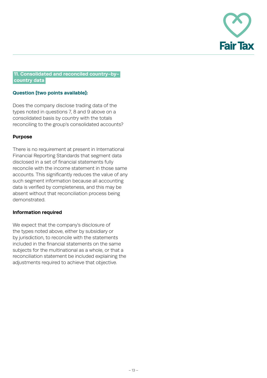

## **11. Consolidated and reconciled country-by-. .country data.**

## **Question [two points available]:**

Does the company disclose trading data of the types noted in questions 7, 8 and 9 above on a consolidated basis by country with the totals reconciling to the group's consolidated accounts?

## **Purpose**

There is no requirement at present in International Financial Reporting Standards that segment data disclosed in a set of financial statements fully reconcile with the income statement in those same accounts. This significantly reduces the value of any such segment information because all accounting data is verified by completeness, and this may be absent without that reconciliation process being demonstrated.

## **Information required**

We expect that the company's disclosure of the types noted above, either by subsidiary or by jurisdiction, to reconcile with the statements included in the financial statements on the same subjects for the multinational as a whole, or that a reconciliation statement be included explaining the adjustments required to achieve that objective.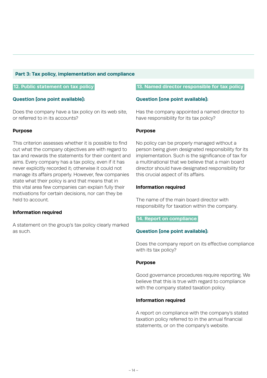#### **Part 3: Tax policy, implementation and compliance**

#### **.12. Public statement on tax policy.**

## **Question [one point available]:**

Does the company have a tax policy on its web site, or referred to in its accounts?

#### **Purpose**

This criterion assesses whether it is possible to find out what the company objectives are with regard to tax and rewards the statements for their content and aims. Every company has a tax policy, even if it has never explicitly recorded it; otherwise it could not manage its affairs properly. However, few companies state what their policy is and that means that in this vital area few companies can explain fully their motivations for certain decisions, nor can they be held to account.

## **Information required**

A statement on the group's tax policy clearly marked as such.

#### **.13. Named director responsible for tax policy.**

#### **Question [one point available]:**

Has the company appointed a named director to have responsibility for its tax policy?

#### **Purpose**

No policy can be properly managed without a person being given designated responsibility for its implementation. Such is the significance of tax for a multinational that we believe that a main board director should have designated responsibility for this crucial aspect of its affairs.

#### **Information required**

The name of the main board director with responsibility for taxation within the company.

#### **.14. Report on compliance.**

#### **Question [one point available]:**

Does the company report on its effective compliance with its tax policy?

#### **Purpose**

Good governance procedures require reporting. We believe that this is true with regard to compliance with the company stated taxation policy.

#### **Information required**

A report on compliance with the company's stated taxation policy referred to in the annual financial statements, or on the company's website.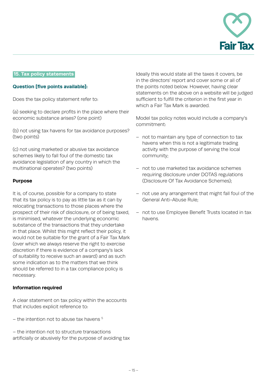

#### **.15. Tax policy statements.**

#### **Question [five points available]:**

Does the tax policy statement refer to:

(a) seeking to declare profits in the place where their economic substance arises? (one point)

(b) not using tax havens for tax avoidance purposes? (two points)

(c) not using marketed or abusive tax avoidance schemes likely to fall foul of the domestic tax avoidance legislation of any country in which the multinational operates? (two points)

#### **Purpose**

It is, of course, possible for a company to state that its tax policy is to pay as little tax as it can by relocating transactions to those places where the prospect of their risk of disclosure, or of being taxed, is minimised, whatever the underlying economic substance of the transactions that they undertake in that place. Whilst this might reflect their policy, it would not be suitable for the grant of a Fair Tax Mark (over which we always reserve the right to exercise discretion if there is evidence of a company's lack of suitability to receive such an award) and as such some indication as to the matters that we think should be referred to in a tax compliance policy is necessary.

#### **Information required**

A clear statement on tax policy within the accounts that includes explicit reference to:

 $-$  the intention not to abuse tax havens  $5$ 

– the intention not to structure transactions artificially or abusively for the purpose of avoiding tax

Ideally this would state all the taxes it covers, be in the directors' report and cover some or all of the points noted below. However, having clear statements on the above on a website will be judged sufficient to fulfill the criterion in the first year in which a Fair Tax Mark is awarded.

Model tax policy notes would include a company's commitment:

- not to maintain any type of connection to tax havens when this is not a legitimate trading activity with the purpose of serving the local community;
- not to use marketed tax avoidance schemes requiring disclosure under DOTAS regulations (Disclosure Of Tax Avoidance Schemes);
- not use any arrangement that might fall foul of the General Anti-Abuse Rule;
- not to use Employee Benefit Trusts located in tax havens.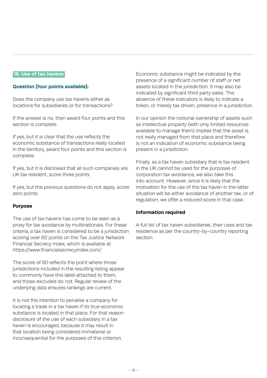#### **.16. Use of tax havens.**

#### **Question [four points available]:**

Does the company use tax havens either as locations for subsidiaries or for transactions?

If the answer is no, then award four points and this section is complete.

If yes, but it is clear that the use reflects the economic substance of transactions really located in the territory, award four points and this section is complete.

If yes, but it is disclosed that all such companies are UK tax resident, score three points.

If yes, but the previous questions do not apply, score zero points.

#### **Purpose**

The use of tax havens has come to be seen as a proxy for tax avoidance by multinationals. For these criteria, a tax haven is considered to be a jurisdiction scoring over 60 points on the Tax Justice Network Financial Secrecy Index, which is available at https://www.financialsecrecyindex.com/

The score of 60 reflects the point where those jurisdictions included in the resulting listing appear to commonly have this label attached to them, and those excluded do not. Regular review of the underlying data ensures rankings are current.

It is not the intention to penalise a company for locating a trade in a tax haven if its true economic substance is located in that place. For that reason disclosure of the use of each subsidiary in a tax haven is encouraged, because it may result in that location being considered immaterial or inconsequential for the purposes of this criterion.

Economic substance might be indicated by the presence of a significant number of staff or net assets located in the jurisdiction. It may also be indicated by significant third party sales. The absence of these indicators is likely to indicate a token, or merely tax driven, presence in a jurisdiction.

In our opinion the notional ownership of assets such as intellectual property (with only limited resources available to manage them) implies that the asset is not really managed from that place and therefore is not an indication of economic substance being present in a jurisdiction.

Finally, as a tax haven subsidiary that is tax resident in the UK cannot be used for the purposes of corporation tax avoidance, we also take this into account. However, since it is likely that the motivation for the use of the tax haven in the latter situation will be either avoidance of another tax, or of regulation, we offer a reduced score in that case.

## **Information required**

A full list of tax haven subsidiaries, their uses and tax residence as per the country-by-country reporting section.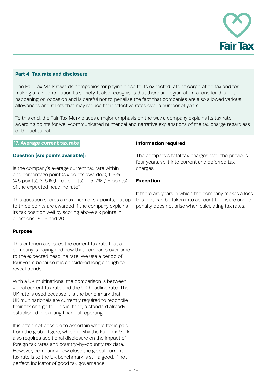

#### **Part 4: Tax rate and disclosure**

The Fair Tax Mark rewards companies for paying close to its expected rate of corporation tax and for making a fair contribution to society. It also recognises that there are legitimate reasons for this not happening on occasion and is careful not to penalise the fact that companies are also allowed various allowances and reliefs that may reduce their effective rates over a number of years.

To this end, the Fair Tax Mark places a major emphasis on the way a company explains its tax rate, awarding points for well-communicated numerical and narrative explanations of the tax charge regardless of the actual rate.

#### **.17. Average current tax rate.**

#### **Question [six points available]:**

Is the company's average current tax rate within one percentage point (six points awarded), 1-3% (4.5 points), 3-5% (three points) or 5-7% (1.5 points) of the expected headline rate?

This question scores a maximum of six points, but up to three points are awarded if the company explains its tax position well by scoring above six points in questions 18, 19 and 20.

#### **Purpose**

This criterion assesses the current tax rate that a company is paying and how that compares over time to the expected headline rate. We use a period of four years because it is considered long enough to reveal trends.

With a UK multinational the comparison is between global current tax rate and the UK headline rate. The UK rate is used because it is the benchmark that UK multinationals are currently required to reconcile their tax charge to. This is, then, a standard already established in existing financial reporting.

It is often not possible to ascertain where tax is paid from the global figure, which is why the Fair Tax Mark also requires additional disclosure on the impact of foreign tax rates and country-by-country tax data. However, comparing how close the global current tax rate is to the UK benchmark is still a good, if not perfect, indicator of good tax governance.

#### **Information required**

The company's total tax charges over the previous four years, split into current and deferred tax charges.

#### **Exception**

If there are years in which the company makes a loss this fact can be taken into account to ensure undue penalty does not arise when calculating tax rates.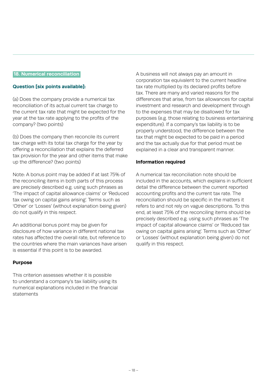#### **.18. Numerical reconciliation.**

#### **Question [six points available]:**

(a) Does the company provide a numerical tax reconciliation of its actual current tax charge to the current tax rate that might be expected for the year at the tax rate applying to the profits of the company? (two points)

(b) Does the company then reconcile its current tax charge with its total tax charge for the year by offering a reconciliation that explains the deferred tax provision for the year and other items that make up the difference? (two points)

Note: A bonus point may be added if at last 75% of the reconciling items in both parts of this process are precisely described e.g. using such phrases as 'The impact of capital allowance claims' or 'Reduced tax owing on capital gains arising'. Terms such as 'Other' or 'Losses' (without explanation being given) do not qualify in this respect.

An additional bonus point may be given for disclosure of how variance in different national tax rates has affected the overall rate, but reference to the countries where the main variances have arisen is essential if this point is to be awarded.

## **Purpose**

This criterion assesses whether it is possible to understand a company's tax liability using its numerical explanations included in the financial statements

A business will not always pay an amount in corporation tax equivalent to the current headline tax rate multiplied by its declared profits before tax. There are many and varied reasons for the differences that arise, from tax allowances for capital investment and research and development through to the expenses that may be disallowed for tax purposes (e.g. those relating to business entertaining expenditure). If a company's tax liability is to be properly understood, the difference between the tax that might be expected to be paid in a period and the tax actually due for that period must be explained in a clear and transparent manner.

#### **Information required**

A numerical tax reconciliation note should be included in the accounts, which explains in sufficient detail the difference between the current reported accounting profits and the current tax rate. The reconciliation should be specific in the matters it refers to and not rely on vague descriptions. To this end, at least 75% of the reconciling items should be precisely described e.g. using such phrases as 'The impact of capital allowance claims' or 'Reduced tax owing on capital gains arising'. Terms such as 'Other' or 'Losses' (without explanation being given) do not qualify in this respect.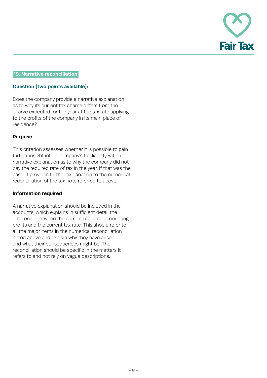

## **.19. Narrative reconciliation.**

#### **Question [two points available]:**

Does the company provide a narrative explanation as to why its current tax charge differs from the charge expected for the year at the tax rate applying to the profits of the company in its main place of residence?

#### **Purpose**

This criterion assesses whether it is possible to gain further insight into a company's tax liability with a narrative explanation as to why the company did not pay the required rate of tax in the year, if that was the case. It provides further explanation to the numerical reconciliation of the tax note referred to above.

#### **Information required**

A narrative explanation should be included in the accounts, which explains in sufficient detail the difference between the current reported accounting profits and the current tax rate. This should refer to all the major items in the numerical reconciliation noted above and explain why they have arisen and what their consequences might be. The reconciliation should be specific in the matters it refers to and not rely on vague descriptions.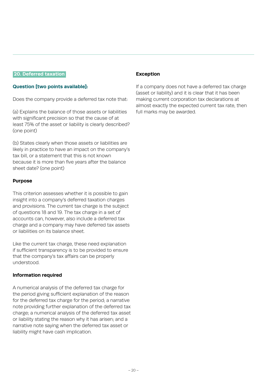#### **.20. Deferred taxation.**

#### **Question [two points available]:**

Does the company provide a deferred tax note that:

(a) Explains the balance of those assets or liabilities with significant precision so that the cause of at least 75% of the asset or liability is clearly described? (one point)

(b) States clearly when those assets or liabilities are likely in practice to have an impact on the company's tax bill, or a statement that this is not known because it is more than five years after the balance sheet date? (one point)

#### **Purpose**

This criterion assesses whether it is possible to gain insight into a company's deferred taxation charges and provisions. The current tax charge is the subject of questions 18 and 19. The tax charge in a set of accounts can, however, also include a deferred tax charge and a company may have deferred tax assets or liabilities on its balance sheet.

Like the current tax charge, these need explanation if sufficient transparency is to be provided to ensure that the company's tax affairs can be properly understood.

## **Information required**

A numerical analysis of the deferred tax charge for the period giving sufficient explanation of the reason for the deferred tax charge for the period; a narrative note providing further explanation of the deferred tax charge; a numerical analysis of the deferred tax asset or liability stating the reason why it has arisen; and a narrative note saying when the deferred tax asset or liability might have cash implication.

## **Exception**

If a company does not have a deferred tax charge (asset or liability) and it is clear that it has been making current corporation tax declarations at almost exactly the expected current tax rate, then full marks may be awarded.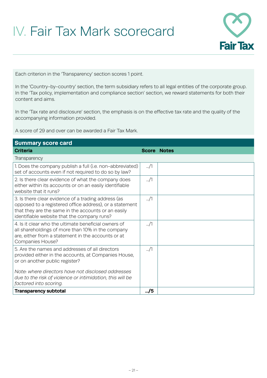## IV. Fair Tax Mark scorecard



Each criterion in the 'Transparency' section scores 1 point.

In the 'Country-by-country' section, the term subsidiary refers to all legal entities of the corporate group. In the 'Tax policy, implementation and compliance section' section, we reward statements for both their content and aims.

In the 'Tax rate and disclosure' section, the emphasis is on the effective tax rate and the quality of the accompanying information provided.

A score of 29 and over can be awarded a Fair Tax Mark.

| <b>Summary score card</b>                                                                                                                                                                                            |                    |  |  |  |
|----------------------------------------------------------------------------------------------------------------------------------------------------------------------------------------------------------------------|--------------------|--|--|--|
| <b>Criteria</b>                                                                                                                                                                                                      | <b>Score Notes</b> |  |  |  |
| <b>Transparency</b>                                                                                                                                                                                                  |                    |  |  |  |
| 1. Does the company publish a full (i.e. non-abbreviated)<br>set of accounts even if not required to do so by law?                                                                                                   | $\ldots/1$         |  |  |  |
| 2. Is there clear evidence of what the company does<br>either within its accounts or on an easily identifiable<br>website that it runs?                                                                              | $\ldots/1$         |  |  |  |
| 3. Is there clear evidence of a trading address (as<br>opposed to a registered office address), or a statement<br>that they are the same in the accounts or an easily<br>identifiable website that the company runs? | $\frac{1}{2}$      |  |  |  |
| 4. Is it clear who the ultimate beneficial owners of<br>all shareholdings of more than 10% in the company<br>are, either from a statement in the accounts or at<br><b>Companies House?</b>                           | $\ldots/1$         |  |  |  |
| 5. Are the names and addresses of all directors<br>provided either in the accounts, at Companies House,<br>or on another public register?                                                                            | $\frac{1}{2}$      |  |  |  |
| Note: where directors have not disclosed addresses<br>due to the risk of violence or intimidation, this will be<br>factored into scoring.                                                                            |                    |  |  |  |
| <b>Transparency subtotal</b>                                                                                                                                                                                         |                    |  |  |  |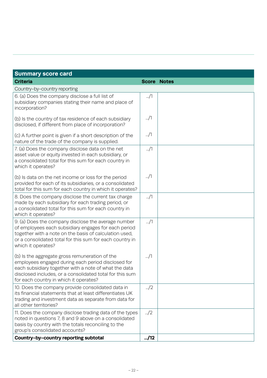| <b>Summary score card</b>                                                                                                                                                                                                                                           |               |                    |  |  |
|---------------------------------------------------------------------------------------------------------------------------------------------------------------------------------------------------------------------------------------------------------------------|---------------|--------------------|--|--|
| <b>Criteria</b>                                                                                                                                                                                                                                                     |               | <b>Score Notes</b> |  |  |
| Country-by-country reporting                                                                                                                                                                                                                                        |               |                    |  |  |
| 6. (a) Does the company disclose a full list of<br>subsidiary companies stating their name and place of<br>incorporation?                                                                                                                                           | $\ldots/1$    |                    |  |  |
| (b) Is the country of tax residence of each subsidiary<br>disclosed, if different from place of incorporation?                                                                                                                                                      | $\ldots/1$    |                    |  |  |
| (c) A further point is given if a short description of the<br>nature of the trade of the company is supplied.                                                                                                                                                       | $\ldots/1$    |                    |  |  |
| 7. (a) Does the company disclose data on the net<br>asset value or equity invested in each subsidiary, or<br>a consolidated total for this sum for each country in<br>which it operates?                                                                            | $\ldots/1$    |                    |  |  |
| (b) Is data on the net income or loss for the period<br>provided for each of its subsidiaries, or a consolidated<br>total for this sum for each country in which it operates?                                                                                       | $\ldots/1$    |                    |  |  |
| 8. Does the company disclose the current tax charge<br>made by each subsidiary for each trading period, or<br>a consolidated total for this sum for each country in<br>which it operates?                                                                           | $\ldots/1$    |                    |  |  |
| 9. (a) Does the company disclose the average number<br>of employees each subsidiary engages for each period<br>together with a note on the basis of calculation used,<br>or a consolidated total for this sum for each country in<br>which it operates?             | $\ldots/1$    |                    |  |  |
| (b) Is the aggregate gross remuneration of the<br>employees engaged during each period disclosed for<br>each subsidiary together with a note of what the data<br>disclosed includes, or a consolidated total for this sum<br>for each country in which it operates? | $\ldots/1$    |                    |  |  |
| 10. Does the company provide consolidated data in<br>its financial statements that at least differentiates UK<br>trading and investment data as separate from data for<br>all other territories?                                                                    | $\frac{1}{2}$ |                    |  |  |
| 11. Does the company disclose trading data of the types<br>noted in questions 7, 8 and 9 above on a consolidated<br>basis by country with the totals reconciling to the<br>group's consolidated accounts?                                                           | $\frac{1}{2}$ |                    |  |  |
| Country-by-country reporting subtotal                                                                                                                                                                                                                               |               |                    |  |  |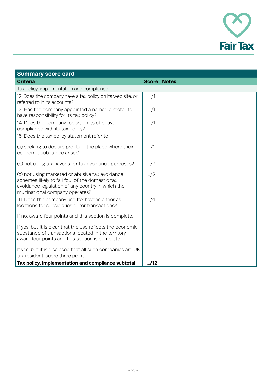

| <b>Summary score card</b>                                                                                                                                                                  |               |                    |  |  |
|--------------------------------------------------------------------------------------------------------------------------------------------------------------------------------------------|---------------|--------------------|--|--|
| <b>Criteria</b>                                                                                                                                                                            |               | <b>Score Notes</b> |  |  |
| Tax policy, implementation and compliance                                                                                                                                                  |               |                    |  |  |
| 12. Does the company have a tax policy on its web site, or<br>referred to in its accounts?                                                                                                 | $\ldots/1$    |                    |  |  |
| 13. Has the company appointed a named director to<br>have responsibility for its tax policy?                                                                                               | $\ldots/1$    |                    |  |  |
| 14. Does the company report on its effective<br>compliance with its tax policy?                                                                                                            | $\ldots/1$    |                    |  |  |
| 15. Does the tax policy statement refer to:                                                                                                                                                |               |                    |  |  |
| (a) seeking to declare profits in the place where their<br>economic substance arises?                                                                                                      | $\ldots/1$    |                    |  |  |
| (b) not using tax havens for tax avoidance purposes?                                                                                                                                       | $\ldots/2$    |                    |  |  |
| (c) not using marketed or abusive tax avoidance<br>schemes likely to fall foul of the domestic tax<br>avoidance legislation of any country in which the<br>multinational company operates? | $\frac{1}{2}$ |                    |  |  |
| 16. Does the company use tax havens either as<br>locations for subsidiaries or for transactions?                                                                                           | $\Box/4$      |                    |  |  |
| If no, award four points and this section is complete.                                                                                                                                     |               |                    |  |  |
| If yes, but it is clear that the use reflects the economic<br>substance of transactions located in the territory,<br>award four points and this section is complete.                       |               |                    |  |  |
| If yes, but it is disclosed that all such companies are UK<br>tax resident, score three points                                                                                             |               |                    |  |  |
| Tax policy, implementation and compliance subtotal                                                                                                                                         | $-.12$        |                    |  |  |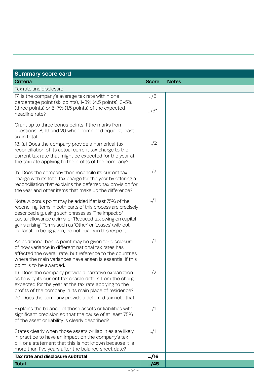| <b>Summary score card</b>                                                                                                                                                                                                                                                                                                                                             |                     |              |  |  |
|-----------------------------------------------------------------------------------------------------------------------------------------------------------------------------------------------------------------------------------------------------------------------------------------------------------------------------------------------------------------------|---------------------|--------------|--|--|
| <b>Criteria</b>                                                                                                                                                                                                                                                                                                                                                       | <b>Score</b>        | <b>Notes</b> |  |  |
| Tax rate and disclosure                                                                                                                                                                                                                                                                                                                                               |                     |              |  |  |
| 17. Is the company's average tax rate within one<br>percentage point (six points), 1-3% (4.5 points), 3-5%<br>(three points) or 5-7% (1.5 points) of the expected<br>headline rate?                                                                                                                                                                                   | /6<br>$\frac{1}{2}$ |              |  |  |
| Grant up to three bonus points if the marks from<br>questions 18, 19 and 20 when combined equal at least<br>six in total.                                                                                                                                                                                                                                             |                     |              |  |  |
| 18. (a) Does the company provide a numerical tax<br>reconciliation of its actual current tax charge to the<br>current tax rate that might be expected for the year at<br>the tax rate applying to the profits of the company?                                                                                                                                         | $\frac{1}{2}$       |              |  |  |
| (b) Does the company then reconcile its current tax<br>charge with its total tax charge for the year by offering a<br>reconciliation that explains the deferred tax provision for<br>the year and other items that make up the difference?                                                                                                                            | $\frac{1}{2}$       |              |  |  |
| Note: A bonus point may be added if at last 75% of the<br>reconciling items in both parts of this process are precisely<br>described e.g. using such phrases as 'The impact of<br>capital allowance claims' or 'Reduced tax owing on capital<br>gains arising! Terms such as 'Other' or 'Losses' (without<br>explanation being given) do not qualify in this respect. | $\ldots/1$          |              |  |  |
| An additional bonus point may be given for disclosure<br>of how variance in different national tax rates has<br>affected the overall rate, but reference to the countries<br>where the main variances have arisen is essential if this<br>point is to be awarded.                                                                                                     | $\ldots/1$          |              |  |  |
| 19. Does the company provide a narrative explanation<br>as to why its current tax charge differs from the charge<br>expected for the year at the tax rate applying to the<br>profits of the company in its main place of residence?                                                                                                                                   | $\frac{1}{2}$       |              |  |  |
| 20. Does the company provide a deferred tax note that:                                                                                                                                                                                                                                                                                                                |                     |              |  |  |
| Explains the balance of those assets or liabilities with<br>significant precision so that the cause of at least 75%<br>of the asset or liability is clearly described?                                                                                                                                                                                                | /1                  |              |  |  |
| States clearly when those assets or liabilities are likely<br>in practice to have an impact on the company's tax<br>bill, or a statement that this is not known because it is<br>more than five years after the balance sheet date?                                                                                                                                   | $\ldots/1$          |              |  |  |
| Tax rate and disclosure subtotal                                                                                                                                                                                                                                                                                                                                      | $-.16$              |              |  |  |
| <b>Total</b>                                                                                                                                                                                                                                                                                                                                                          | $-.45$              |              |  |  |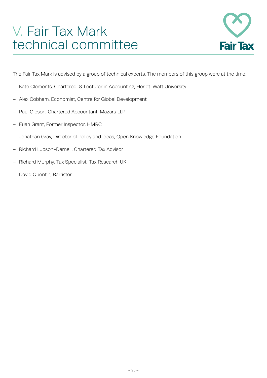## V. Fair Tax Mark technical committee



The Fair Tax Mark is advised by a group of technical experts. The members of this group were at the time:

- Kate Clements, Chartered & Lecturer in Accounting, Heriot-Watt University
- Alex Cobham, Economist, Centre for Global Development
- Paul Gibson, Chartered Accountant, Mazars LLP
- Euan Grant, Former Inspector, HMRC
- Jonathan Gray, Director of Policy and Ideas, Open Knowledge Foundation
- Richard Lupson-Darnell, Chartered Tax Advisor
- Richard Murphy, Tax Specialist, Tax Research UK
- David Quentin, Barrister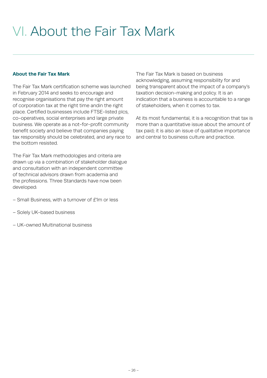# VI. About the Fair Tax Mark

## **About the Fair Tax Mark**

The Fair Tax Mark certification scheme was launched in February 2014 and seeks to encourage and recognise organisations that pay the right amount of corporation tax at the right time andin the right place. Certified businesses include FTSE-listed plcs, co-operatives, social enterprises and large private business. We operate as a not-for-profit community benefit society and believe that companies paying tax responsibly should be celebrated, and any race to the bottom resisted.

The Fair Tax Mark methodologies and criteria are drawn up via a combination of stakeholder dialogue and consultation with an independent committee of technical advisors drawn from academia and the professions. Three Standards have now been developed:

- Small Business, with a turnover of £1m or less
- Solely UK-based business
- UK-owned Multinational business

The Fair Tax Mark is based on business acknowledging, assuming responsibility for and being transparent about the impact of a company's taxation decision-making and policy. It is an indication that a business is accountable to a range of stakeholders, when it comes to tax.

At its most fundamental, it is a recognition that tax is more than a quantitative issue about the amount of tax paid; it is also an issue of qualitative importance and central to business culture and practice.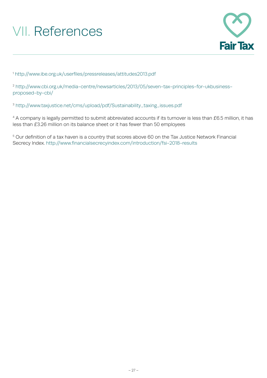# VII. References



<sup>1</sup> <http://www.ibe.org.uk/userfiles/pressreleases/attitudes2013.pdf>

<sup>2</sup> [http://www.cbi.org.uk/media-centre/newsarticles/2013/05/seven-tax-principles-for-ukbusiness](http://www.cbi.org.uk/media-centre/newsarticles/2013/05/seven-tax-principles-for-ukbusiness-proposed-by-cbi/)[proposed-by-cbi/](http://www.cbi.org.uk/media-centre/newsarticles/2013/05/seven-tax-principles-for-ukbusiness-proposed-by-cbi/)

<sup>3</sup> [http://www.taxjustice.net/cms/upload/pdf/Sustainability\\_taxing\\_issues.pdf](http://www.taxjustice.net/cms/upload/pdf/Sustainability_taxing_issues.pdf)

<sup>4</sup> A company is legally permitted to submit abbreviated accounts if its turnover is less than £6.5 million, it has less than £3.26 million on its balance sheet or it has fewer than 50 employees

<sup>5</sup> Our definition of a tax haven is a country that scores above 60 on the Tax Justice Network Financial Secrecy Index. http://www.financialsecrecyindex.com/introduction/fsi-2018-results